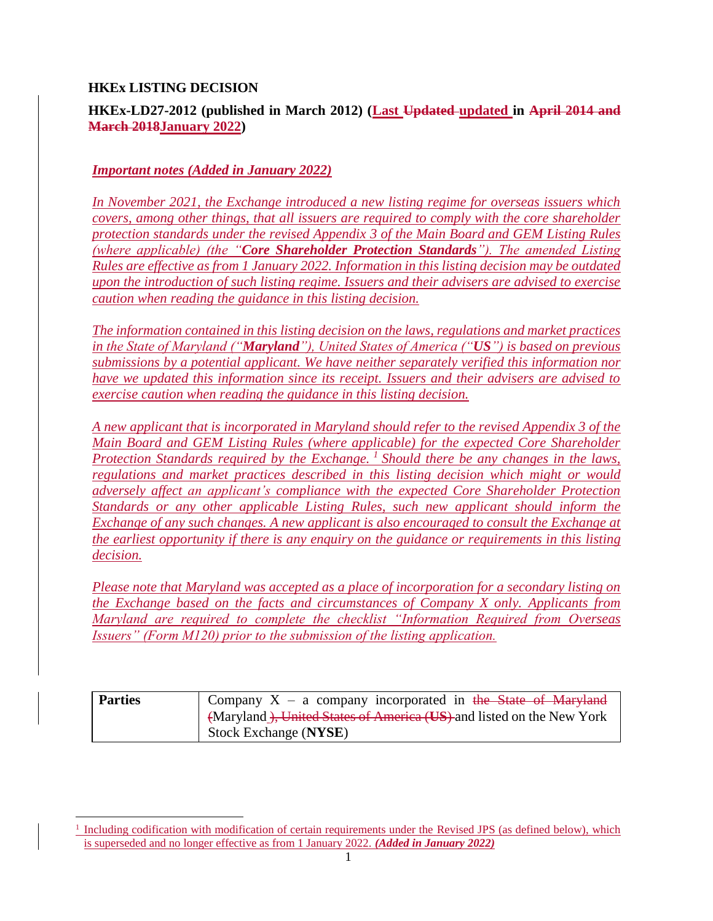#### **HKEx LISTING DECISION**

 $\overline{a}$ 

## **HKEx-LD27-2012 (published in March 2012) (Last Updated updated in April 2014 and March 2018January 2022)**

#### *Important notes (Added in January 2022)*

*In November 2021, the Exchange introduced a new listing regime for overseas issuers which covers, among other things, that all issuers are required to comply with the core shareholder protection standards under the revised Appendix 3 of the Main Board and GEM Listing Rules (where applicable) (the "Core Shareholder Protection Standards"). The amended Listing Rules are effective as from 1 January 2022. Information in this listing decision may be outdated upon the introduction of such listing regime. Issuers and their advisers are advised to exercise caution when reading the guidance in this listing decision.*

*The information contained in this listing decision on the laws, regulations and market practices in the State of Maryland ("Maryland"), United States of America ("US") is based on previous submissions by a potential applicant. We have neither separately verified this information nor have we updated this information since its receipt. Issuers and their advisers are advised to exercise caution when reading the guidance in this listing decision.* 

*A new applicant that is incorporated in Maryland should refer to the revised Appendix 3 of the Main Board and GEM Listing Rules (where applicable) for the expected Core Shareholder Protection Standards required by the Exchange. <sup>1</sup> Should there be any changes in the laws, regulations and market practices described in this listing decision which might or would adversely affect an applicant's compliance with the expected Core Shareholder Protection Standards or any other applicable Listing Rules, such new applicant should inform the Exchange of any such changes. A new applicant is also encouraged to consult the Exchange at the earliest opportunity if there is any enquiry on the guidance or requirements in this listing decision.* 

*Please note that Maryland was accepted as a place of incorporation for a secondary listing on the Exchange based on the facts and circumstances of Company X only. Applicants from Maryland are required to complete the checklist "Information Required from Overseas Issuers" (Form M120) prior to the submission of the listing application.* 

| <b>Parties</b> | Company $X - a$ company incorporated in the State of Maryland        |  |  |
|----------------|----------------------------------------------------------------------|--|--|
|                | (Maryland), United States of America (US) and listed on the New York |  |  |
|                | Stock Exchange (NYSE)                                                |  |  |

<sup>&</sup>lt;sup>1</sup> Including codification with modification of certain requirements under the Revised JPS (as defined below), which is superseded and no longer effective as from 1 January 2022. *(Added in January 2022)*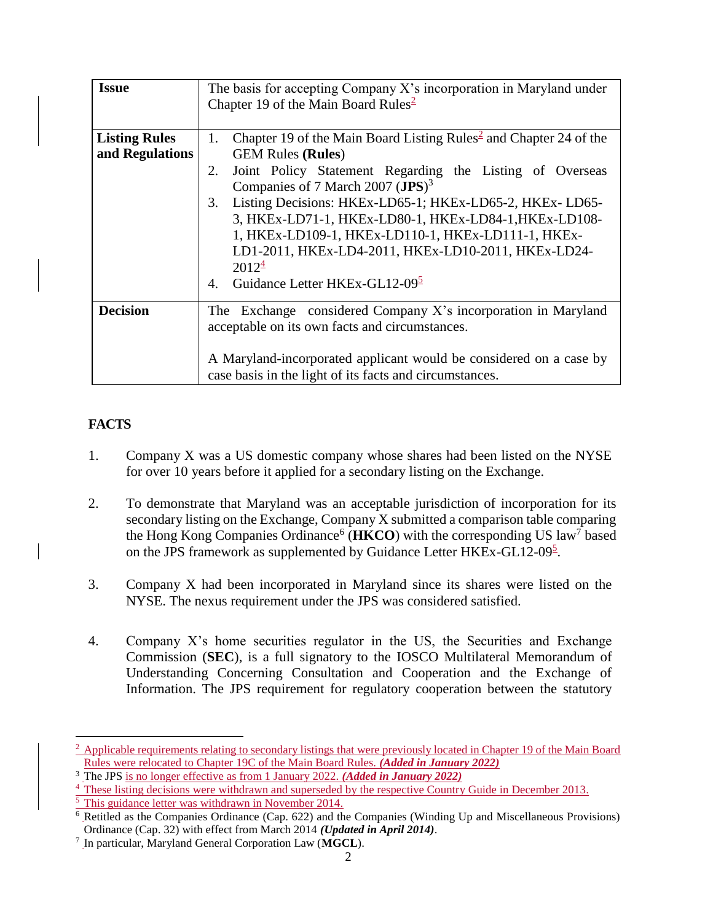| <b>Issue</b>                            | The basis for accepting Company $X$ 's incorporation in Maryland under<br>Chapter 19 of the Main Board Rules <sup>2</sup>                                                                                                                                                                                                                                                                                                                                                                                                                           |  |
|-----------------------------------------|-----------------------------------------------------------------------------------------------------------------------------------------------------------------------------------------------------------------------------------------------------------------------------------------------------------------------------------------------------------------------------------------------------------------------------------------------------------------------------------------------------------------------------------------------------|--|
| <b>Listing Rules</b><br>and Regulations | Chapter 19 of the Main Board Listing Rules <sup>2</sup> and Chapter 24 of the<br>1.<br><b>GEM Rules (Rules)</b><br>Joint Policy Statement Regarding the Listing of Overseas<br>2.<br>Companies of 7 March 2007 (JPS) <sup>3</sup><br>Listing Decisions: HKEx-LD65-1; HKEx-LD65-2, HKEx-LD65-<br>3.<br>3, HKEx-LD71-1, HKEx-LD80-1, HKEx-LD84-1, HKEx-LD108-<br>1, HKEx-LD109-1, HKEx-LD110-1, HKEx-LD111-1, HKEx-<br>LD1-2011, HKEx-LD4-2011, HKEx-LD10-2011, HKEx-LD24-<br>$2012^{\frac{4}{5}}$<br>Guidance Letter HKEx-GL12-09 <sup>5</sup><br>4. |  |
| <b>Decision</b>                         | The Exchange considered Company X's incorporation in Maryland<br>acceptable on its own facts and circumstances.<br>A Maryland-incorporated applicant would be considered on a case by<br>case basis in the light of its facts and circumstances.                                                                                                                                                                                                                                                                                                    |  |

# **FACTS**

- 1. Company X was a US domestic company whose shares had been listed on the NYSE for over 10 years before it applied for a secondary listing on the Exchange.
- 2. To demonstrate that Maryland was an acceptable jurisdiction of incorporation for its secondary listing on the Exchange, Company X submitted a comparison table comparing the Hong Kong Companies Ordinance<sup>6</sup> ( $H KCO$ ) with the corresponding US law<sup>7</sup> based on the JPS framework as supplemented by Guidance Letter HKEx-GL12-09<sup>5</sup>.
- 3. Company X had been incorporated in Maryland since its shares were listed on the NYSE. The nexus requirement under the JPS was considered satisfied.
- 4. Company X's home securities regulator in the US, the Securities and Exchange Commission (**SEC**), is a full signatory to the IOSCO Multilateral Memorandum of Understanding Concerning Consultation and Cooperation and the Exchange of Information. The JPS requirement for regulatory cooperation between the statutory

 $\frac{2}{3}$  Applicable requirements relating to secondary listings that were previously located in Chapter 19 of the Main Board Rules were relocated to Chapter 19C of the Main Board Rules. *(Added in January 2022)*

<sup>3</sup> The JPS is no longer effective as from 1 January 2022. *(Added in January 2022)*

<sup>&</sup>lt;sup>4</sup> These listing decisions were withdrawn and superseded by the respective Country Guide in December 2013.

 $\frac{5}{10}$  This guidance letter was withdrawn in November 2014.

<sup>6</sup> Retitled as the Companies Ordinance (Cap. 622) and the Companies (Winding Up and Miscellaneous Provisions) Ordinance (Cap. 32) with effect from March 2014 *(Updated in April 2014)*.

<sup>7</sup> In particular, Maryland General Corporation Law (**MGCL**).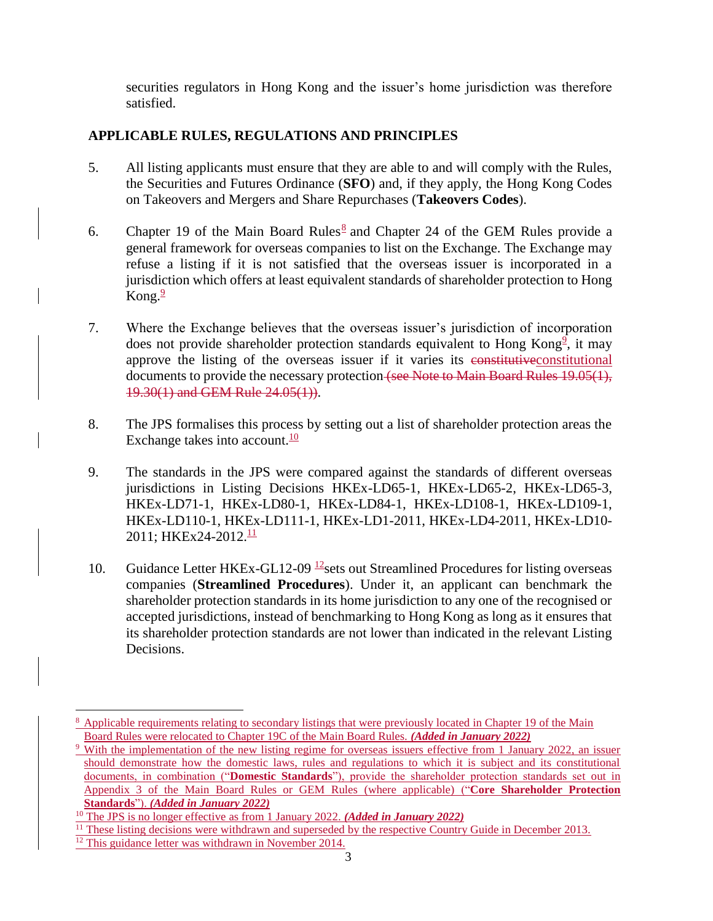securities regulators in Hong Kong and the issuer's home jurisdiction was therefore satisfied.

## **APPLICABLE RULES, REGULATIONS AND PRINCIPLES**

- 5. All listing applicants must ensure that they are able to and will comply with the Rules, the Securities and Futures Ordinance (**SFO**) and, if they apply, the Hong Kong Codes on Takeovers and Mergers and Share Repurchases (**Takeovers Codes**).
- 6. Chapter 19 of the Main Board Rules<sup>8</sup> and Chapter 24 of the GEM Rules provide a general framework for overseas companies to list on the Exchange. The Exchange may refuse a listing if it is not satisfied that the overseas issuer is incorporated in a jurisdiction which offers at least equivalent standards of shareholder protection to Hong Kong. $\frac{9}{2}$
- 7. Where the Exchange believes that the overseas issuer's jurisdiction of incorporation does not provide shareholder protection standards equivalent to Hong Kong<sup>2</sup>, it may approve the listing of the overseas issuer if it varies its constitutive constitutional documents to provide the necessary protection (see Note to Main Board Rules 19.05(1), 19.30(1) and GEM Rule 24.05(1)).
- 8. The JPS formalises this process by setting out a list of shareholder protection areas the Exchange takes into account. $\frac{10}{10}$
- 9. The standards in the JPS were compared against the standards of different overseas jurisdictions in Listing Decisions HKEx-LD65-1, HKEx-LD65-2, HKEx-LD65-3, HKEx-LD71-1, HKEx-LD80-1, HKEx-LD84-1, HKEx-LD108-1, HKEx-LD109-1, HKEx-LD110-1, HKEx-LD111-1, HKEx-LD1-2011, HKEx-LD4-2011, HKEx-LD10- 2011; HKEx24-2012.<sup>11</sup>
- 10. Guidance Letter HKEx-GL12-09  $\frac{12}{15}$  sets out Streamlined Procedures for listing overseas companies (**Streamlined Procedures**). Under it, an applicant can benchmark the shareholder protection standards in its home jurisdiction to any one of the recognised or accepted jurisdictions, instead of benchmarking to Hong Kong as long as it ensures that its shareholder protection standards are not lower than indicated in the relevant Listing Decisions.

l

<sup>&</sup>lt;sup>8</sup> Applicable requirements relating to secondary listings that were previously located in Chapter 19 of the Main Board Rules were relocated to Chapter 19C of the Main Board Rules. *(Added in January 2022)*

<sup>&</sup>lt;sup>9</sup> With the implementation of the new listing regime for overseas issuers effective from 1 January 2022, an issuer should demonstrate how the domestic laws, rules and regulations to which it is subject and its constitutional documents, in combination ("**Domestic Standards**"), provide the shareholder protection standards set out in Appendix 3 of the Main Board Rules or GEM Rules (where applicable) ("**Core Shareholder Protection Standards**"). *(Added in January 2022)*

<sup>10</sup> The JPS is no longer effective as from 1 January 2022. *(Added in January 2022)*

<sup>&</sup>lt;sup>11</sup> These listing decisions were withdrawn and superseded by the respective Country Guide in December 2013.

<sup>&</sup>lt;sup>12</sup> This guidance letter was withdrawn in November 2014.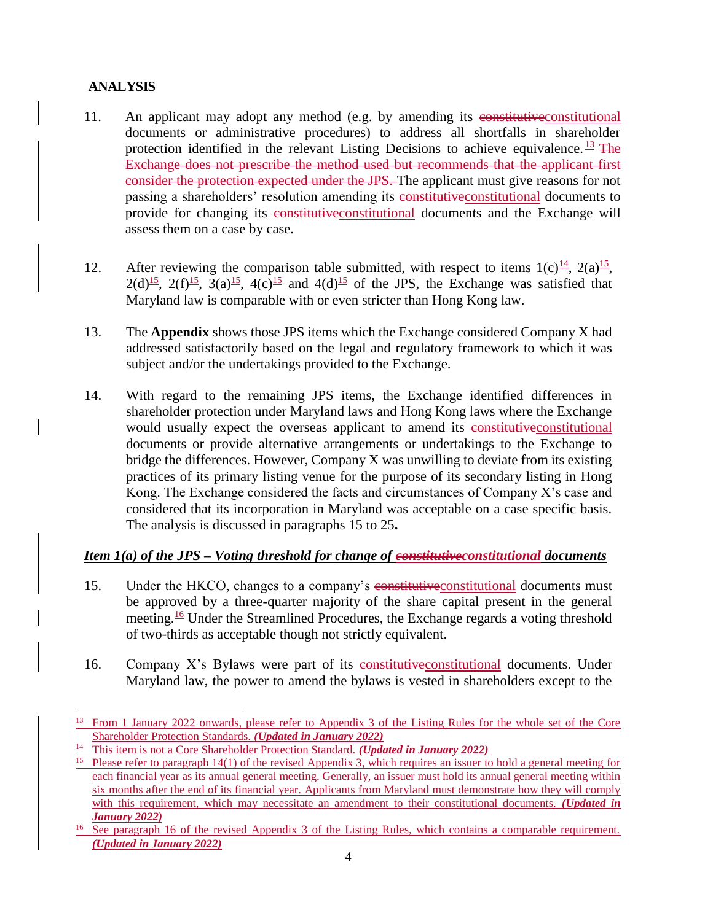# **ANALYSIS**

- 11. An applicant may adopt any method (e.g. by amending its constitutive constitutional documents or administrative procedures) to address all shortfalls in shareholder protection identified in the relevant Listing Decisions to achieve equivalence.  $\frac{13}{12}$  The Exchange does not prescribe the method used but recommends that the applicant first consider the protection expected under the JPS. The applicant must give reasons for not passing a shareholders' resolution amending its constitutive constitutional documents to provide for changing its constitutive constitutional documents and the Exchange will assess them on a case by case.
- 12. After reviewing the comparison table submitted, with respect to items  $1(c)$ <sup>14</sup>,  $2(a)$ <sup>15</sup>,  $2(d)$ <sup>15</sup>,  $2(f)$ <sup>15</sup>,  $3(a)$ <sup>15</sup>,  $4(c)$ <sup>15</sup> and  $4(d)$ <sup>15</sup> of the JPS, the Exchange was satisfied that Maryland law is comparable with or even stricter than Hong Kong law.
- 13. The **Appendix** shows those JPS items which the Exchange considered Company X had addressed satisfactorily based on the legal and regulatory framework to which it was subject and/or the undertakings provided to the Exchange.
- 14. With regard to the remaining JPS items, the Exchange identified differences in shareholder protection under Maryland laws and Hong Kong laws where the Exchange would usually expect the overseas applicant to amend its constitutive constitutional documents or provide alternative arrangements or undertakings to the Exchange to bridge the differences. However, Company X was unwilling to deviate from its existing practices of its primary listing venue for the purpose of its secondary listing in Hong Kong. The Exchange considered the facts and circumstances of Company X's case and considered that its incorporation in Maryland was acceptable on a case specific basis. The analysis is discussed in paragraphs 15 to 25**.**

### *Item 1(a) of the JPS – Voting threshold for change of constitutiveconstitutional documents*

- 15. Under the HKCO, changes to a company's constitutiveconstitutional documents must be approved by a three-quarter majority of the share capital present in the general meeting.<sup>16</sup> Under the Streamlined Procedures, the Exchange regards a voting threshold of two-thirds as acceptable though not strictly equivalent.
- 16. Company X's Bylaws were part of its constitutive constitutional documents. Under Maryland law, the power to amend the bylaws is vested in shareholders except to the

l <sup>13</sup> From 1 January 2022 onwards, please refer to Appendix 3 of the Listing Rules for the whole set of the Core Shareholder Protection Standards. *(Updated in January 2022)*

<sup>14</sup> This item is not a Core Shareholder Protection Standard. *(Updated in January 2022)*

<sup>&</sup>lt;sup>15</sup> Please refer to paragraph 14(1) of the revised Appendix 3, which requires an issuer to hold a general meeting for each financial year as its annual general meeting. Generally, an issuer must hold its annual general meeting within six months after the end of its financial year. Applicants from Maryland must demonstrate how they will comply with this requirement, which may necessitate an amendment to their constitutional documents. *(Updated in January 2022)*

<sup>&</sup>lt;sup>16</sup> See paragraph 16 of the revised Appendix 3 of the Listing Rules, which contains a comparable requirement. *(Updated in January 2022)*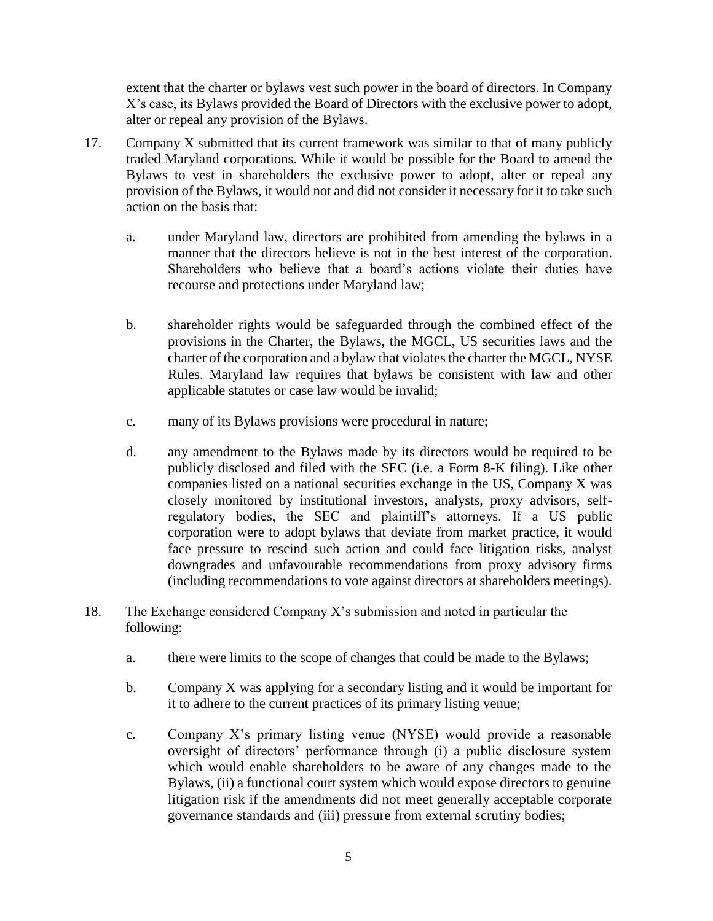extent that the charter or bylaws vest such power in the board of directors. In Company X's case, its Bylaws provided the Board of Directors with the exclusive power to adopt, alter or repeal any provision of the Bylaws.

- 17. Company X submitted that its current framework was similar to that of many publicly traded Maryland corporations. While it would be possible for the Board to amend the Bylaws to vest in shareholders the exclusive power to adopt, alter or repeal any provision of the Bylaws, it would not and did not consider it necessary for it to take such action on the basis that:
	- a. under Maryland law, directors are prohibited from amending the bylaws in a manner that the directors believe is not in the best interest of the corporation. Shareholders who believe that a board's actions violate their duties have recourse and protections under Maryland law;
	- b. shareholder rights would be safeguarded through the combined effect of the provisions in the Charter, the Bylaws, the MGCL, US securities laws and the charter of the corporation and a bylaw that violates the charter the MGCL, NYSE Rules. Maryland law requires that bylaws be consistent with law and other applicable statutes or case law would be invalid;
	- c. many of its Bylaws provisions were procedural in nature;
	- d. any amendment to the Bylaws made by its directors would be required to be publicly disclosed and filed with the SEC (i.e. a Form 8-K filing). Like other companies listed on a national securities exchange in the US, Company X was closely monitored by institutional investors, analysts, proxy advisors, selfregulatory bodies, the SEC and plaintiff's attorneys. If a US public corporation were to adopt bylaws that deviate from market practice, it would face pressure to rescind such action and could face litigation risks, analyst downgrades and unfavourable recommendations from proxy advisory firms (including recommendations to vote against directors at shareholders meetings).
- 18. The Exchange considered Company X's submission and noted in particular the following:
	- a. there were limits to the scope of changes that could be made to the Bylaws;
	- b. Company X was applying for a secondary listing and it would be important for it to adhere to the current practices of its primary listing venue;
	- c. Company X's primary listing venue (NYSE) would provide a reasonable oversight of directors' performance through (i) a public disclosure system which would enable shareholders to be aware of any changes made to the Bylaws, (ii) a functional court system which would expose directors to genuine litigation risk if the amendments did not meet generally acceptable corporate governance standards and (iii) pressure from external scrutiny bodies;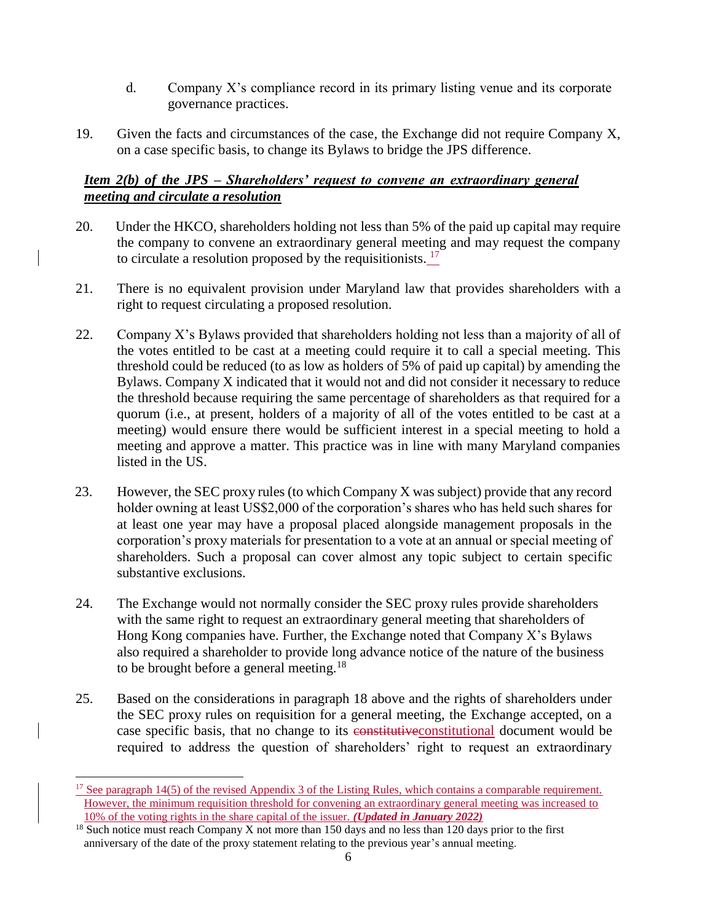- d. Company X's compliance record in its primary listing venue and its corporate governance practices.
- 19. Given the facts and circumstances of the case, the Exchange did not require Company X, on a case specific basis, to change its Bylaws to bridge the JPS difference.

#### *Item 2(b) of the JPS – Shareholders' request to convene an extraordinary general meeting and circulate a resolution*

- 20. Under the HKCO, shareholders holding not less than 5% of the paid up capital may require the company to convene an extraordinary general meeting and may request the company to circulate a resolution proposed by the requisitionists.  $17$
- 21. There is no equivalent provision under Maryland law that provides shareholders with a right to request circulating a proposed resolution.
- 22. Company X's Bylaws provided that shareholders holding not less than a majority of all of the votes entitled to be cast at a meeting could require it to call a special meeting. This threshold could be reduced (to as low as holders of 5% of paid up capital) by amending the Bylaws. Company X indicated that it would not and did not consider it necessary to reduce the threshold because requiring the same percentage of shareholders as that required for a quorum (i.e., at present, holders of a majority of all of the votes entitled to be cast at a meeting) would ensure there would be sufficient interest in a special meeting to hold a meeting and approve a matter. This practice was in line with many Maryland companies listed in the US.
- 23. However, the SEC proxy rules (to which Company X was subject) provide that any record holder owning at least US\$2,000 of the corporation's shares who has held such shares for at least one year may have a proposal placed alongside management proposals in the corporation's proxy materials for presentation to a vote at an annual or special meeting of shareholders. Such a proposal can cover almost any topic subject to certain specific substantive exclusions.
- 24. The Exchange would not normally consider the SEC proxy rules provide shareholders with the same right to request an extraordinary general meeting that shareholders of Hong Kong companies have. Further, the Exchange noted that Company X's Bylaws also required a shareholder to provide long advance notice of the nature of the business to be brought before a general meeting.<sup>18</sup>
- 25. Based on the considerations in paragraph 18 above and the rights of shareholders under the SEC proxy rules on requisition for a general meeting, the Exchange accepted, on a case specific basis, that no change to its constitutive constitutional document would be required to address the question of shareholders' right to request an extraordinary

 $\overline{\phantom{a}}$ 

<sup>&</sup>lt;sup>17</sup> See paragraph 14(5) of the revised Appendix 3 of the Listing Rules, which contains a comparable requirement. However, the minimum requisition threshold for convening an extraordinary general meeting was increased to 10% of the voting rights in the share capital of the issuer. *(Updated in January 2022)*

 $18$  Such notice must reach Company X not more than 150 days and no less than 120 days prior to the first anniversary of the date of the proxy statement relating to the previous year's annual meeting.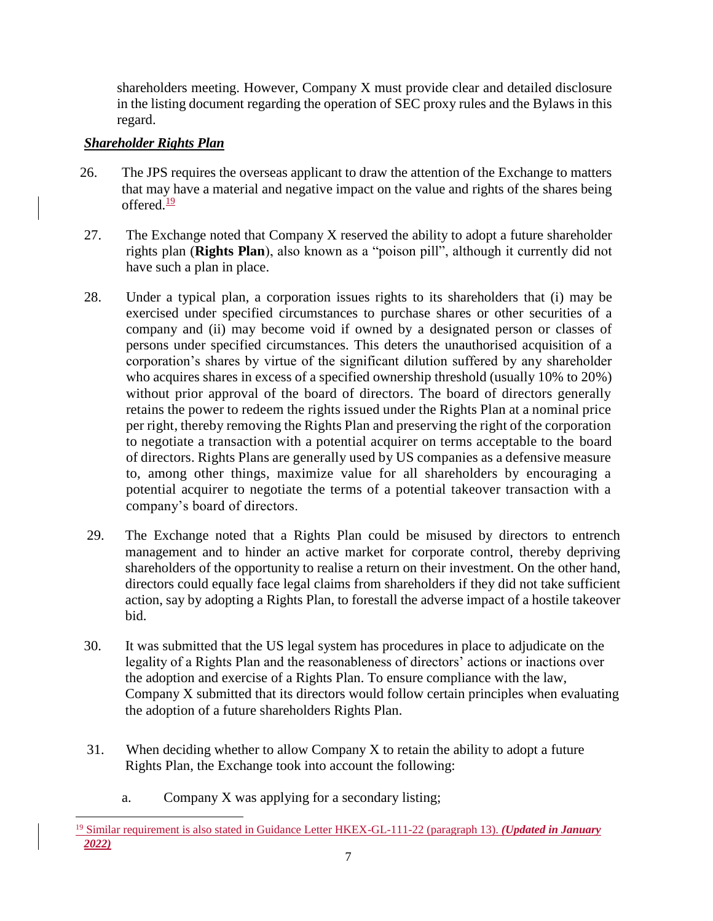shareholders meeting. However, Company X must provide clear and detailed disclosure in the listing document regarding the operation of SEC proxy rules and the Bylaws in this regard.

### *Shareholder Rights Plan*

- 26. The JPS requires the overseas applicant to draw the attention of the Exchange to matters that may have a material and negative impact on the value and rights of the shares being offered. $\frac{19}{2}$
- 27. The Exchange noted that Company X reserved the ability to adopt a future shareholder rights plan (**Rights Plan**), also known as a "poison pill", although it currently did not have such a plan in place.
- 28. Under a typical plan, a corporation issues rights to its shareholders that (i) may be exercised under specified circumstances to purchase shares or other securities of a company and (ii) may become void if owned by a designated person or classes of persons under specified circumstances. This deters the unauthorised acquisition of a corporation's shares by virtue of the significant dilution suffered by any shareholder who acquires shares in excess of a specified ownership threshold (usually 10% to 20%) without prior approval of the board of directors. The board of directors generally retains the power to redeem the rights issued under the Rights Plan at a nominal price per right, thereby removing the Rights Plan and preserving the right of the corporation to negotiate a transaction with a potential acquirer on terms acceptable to the board of directors. Rights Plans are generally used by US companies as a defensive measure to, among other things, maximize value for all shareholders by encouraging a potential acquirer to negotiate the terms of a potential takeover transaction with a company's board of directors.
- 29. The Exchange noted that a Rights Plan could be misused by directors to entrench management and to hinder an active market for corporate control, thereby depriving shareholders of the opportunity to realise a return on their investment. On the other hand, directors could equally face legal claims from shareholders if they did not take sufficient action, say by adopting a Rights Plan, to forestall the adverse impact of a hostile takeover bid.
- 30. It was submitted that the US legal system has procedures in place to adjudicate on the legality of a Rights Plan and the reasonableness of directors' actions or inactions over the adoption and exercise of a Rights Plan. To ensure compliance with the law, Company X submitted that its directors would follow certain principles when evaluating the adoption of a future shareholders Rights Plan.
- 31. When deciding whether to allow Company X to retain the ability to adopt a future Rights Plan, the Exchange took into account the following:
	- a. Company X was applying for a secondary listing;

 $\overline{a}$ <sup>19</sup> Similar requirement is also stated in Guidance Letter HKEX-GL-111-22 (paragraph 13). *(Updated in January 2022)*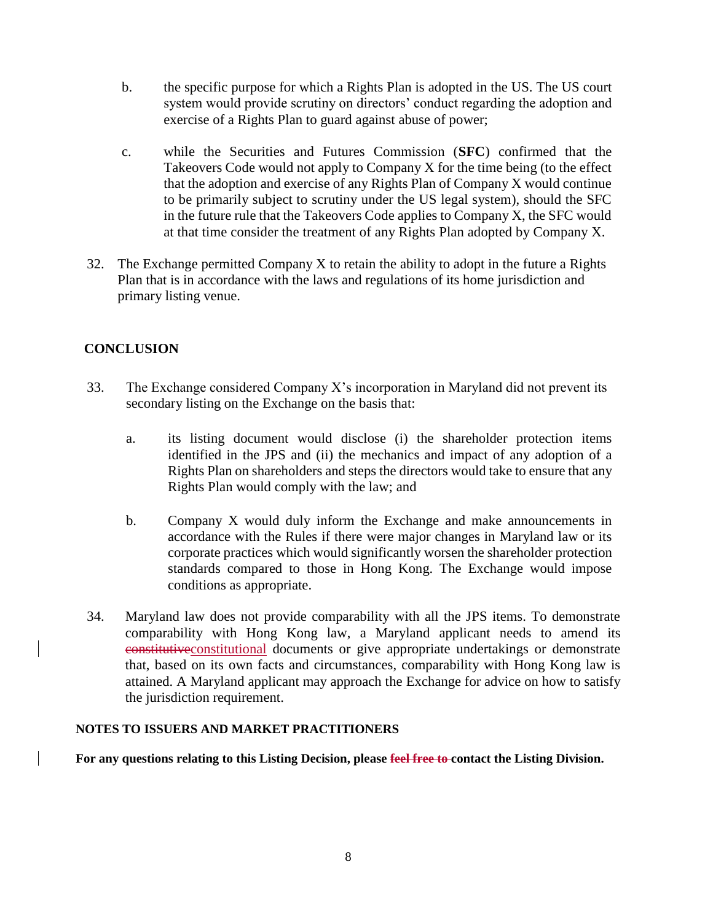- b. the specific purpose for which a Rights Plan is adopted in the US. The US court system would provide scrutiny on directors' conduct regarding the adoption and exercise of a Rights Plan to guard against abuse of power;
- c. while the Securities and Futures Commission (**SFC**) confirmed that the Takeovers Code would not apply to Company X for the time being (to the effect that the adoption and exercise of any Rights Plan of Company X would continue to be primarily subject to scrutiny under the US legal system), should the SFC in the future rule that the Takeovers Code applies to Company X, the SFC would at that time consider the treatment of any Rights Plan adopted by Company X.
- 32. The Exchange permitted Company X to retain the ability to adopt in the future a Rights Plan that is in accordance with the laws and regulations of its home jurisdiction and primary listing venue.

# **CONCLUSION**

- 33. The Exchange considered Company X's incorporation in Maryland did not prevent its secondary listing on the Exchange on the basis that:
	- a. its listing document would disclose (i) the shareholder protection items identified in the JPS and (ii) the mechanics and impact of any adoption of a Rights Plan on shareholders and steps the directors would take to ensure that any Rights Plan would comply with the law; and
	- b. Company X would duly inform the Exchange and make announcements in accordance with the Rules if there were major changes in Maryland law or its corporate practices which would significantly worsen the shareholder protection standards compared to those in Hong Kong. The Exchange would impose conditions as appropriate.
- 34. Maryland law does not provide comparability with all the JPS items. To demonstrate comparability with Hong Kong law, a Maryland applicant needs to amend its constitutiveconstitutional documents or give appropriate undertakings or demonstrate that, based on its own facts and circumstances, comparability with Hong Kong law is attained. A Maryland applicant may approach the Exchange for advice on how to satisfy the jurisdiction requirement.

#### **NOTES TO ISSUERS AND MARKET PRACTITIONERS**

**For any questions relating to this Listing Decision, please feel free to contact the Listing Division.**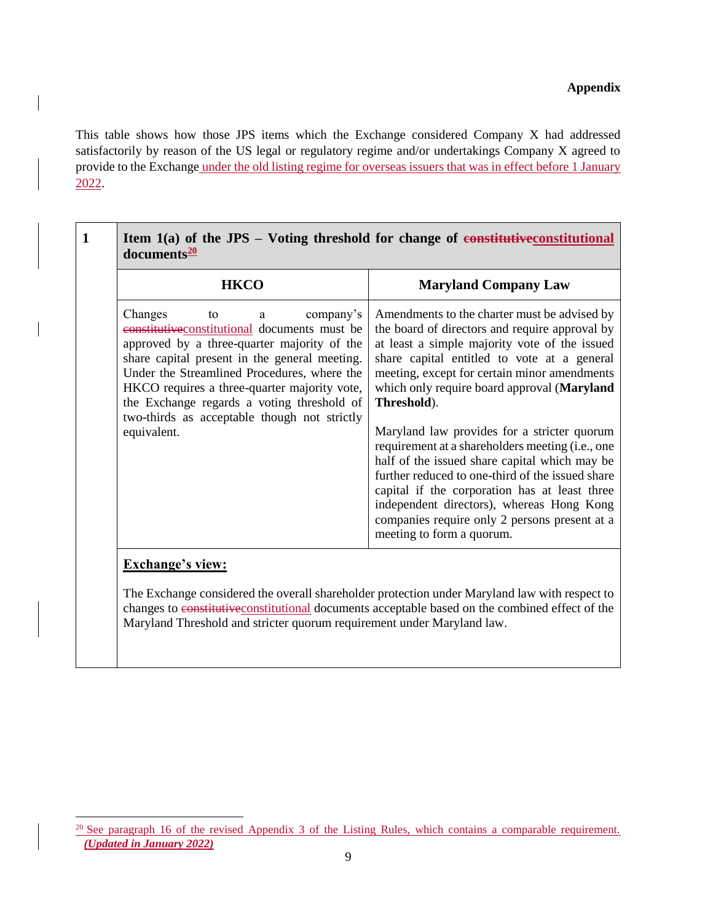#### **Appendix**

This table shows how those JPS items which the Exchange considered Company X had addressed satisfactorily by reason of the US legal or regulatory regime and/or undertakings Company X agreed to provide to the Exchange under the old listing regime for overseas issuers that was in effect before 1 January 2022.

| <b>HKCO</b>                                                                                                                                                                                                                                                                                                                                                                                  | <b>Maryland Company Law</b>                                                                                                                                                                                                                                                                                                                                                                                                                                                                                                                                                                                                                                                                      |
|----------------------------------------------------------------------------------------------------------------------------------------------------------------------------------------------------------------------------------------------------------------------------------------------------------------------------------------------------------------------------------------------|--------------------------------------------------------------------------------------------------------------------------------------------------------------------------------------------------------------------------------------------------------------------------------------------------------------------------------------------------------------------------------------------------------------------------------------------------------------------------------------------------------------------------------------------------------------------------------------------------------------------------------------------------------------------------------------------------|
| Changes<br>company's<br>to<br>a<br>eonstitutive constitutional documents must be<br>approved by a three-quarter majority of the<br>share capital present in the general meeting.<br>Under the Streamlined Procedures, where the<br>HKCO requires a three-quarter majority vote,<br>the Exchange regards a voting threshold of<br>two-thirds as acceptable though not strictly<br>equivalent. | Amendments to the charter must be advised by<br>the board of directors and require approval by<br>at least a simple majority vote of the issued<br>share capital entitled to vote at a general<br>meeting, except for certain minor amendments<br>which only require board approval (Maryland<br>Threshold).<br>Maryland law provides for a stricter quorum<br>requirement at a shareholders meeting (i.e., one<br>half of the issued share capital which may be<br>further reduced to one-third of the issued share<br>capital if the corporation has at least three<br>independent directors), whereas Hong Kong<br>companies require only 2 persons present at a<br>meeting to form a quorum. |

changes to constitutiveconstitutional documents acceptable based on the combined effect of the Maryland Threshold and stricter quorum requirement under Maryland law.

<sup>&</sup>lt;sup>20</sup> See paragraph 16 of the revised Appendix 3 of the Listing Rules, which contains a comparable requirement. *(Updated in January 2022)*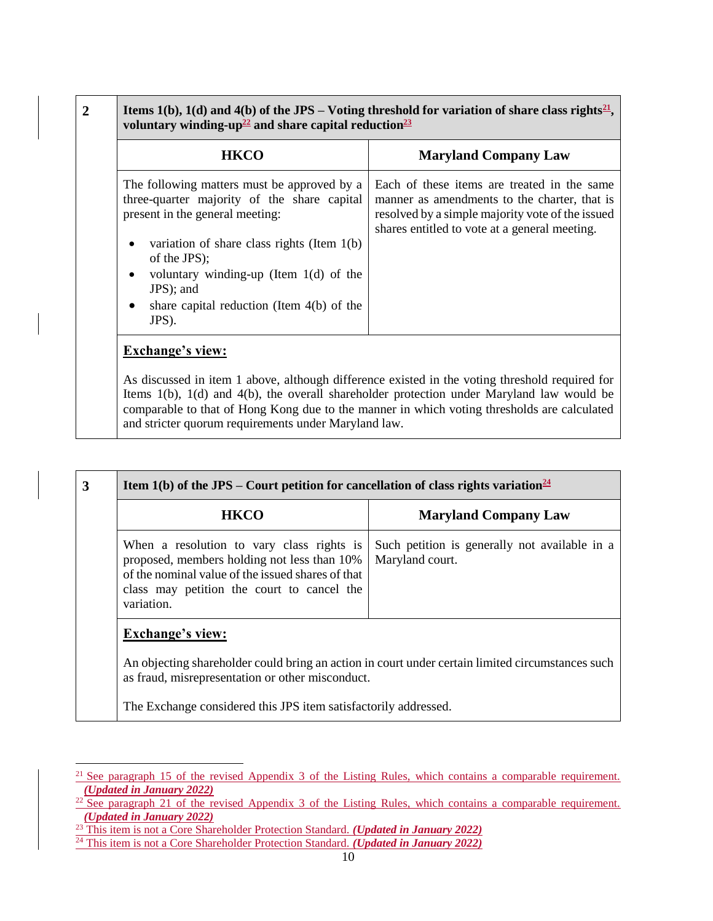| <b>HKCO</b>                                                                                                                                                                                                                                              | <b>Maryland Company Law</b>                                                                                                                                                                      |
|----------------------------------------------------------------------------------------------------------------------------------------------------------------------------------------------------------------------------------------------------------|--------------------------------------------------------------------------------------------------------------------------------------------------------------------------------------------------|
| The following matters must be approved by a<br>three-quarter majority of the share capital<br>present in the general meeting:<br>variation of share class rights (Item $1(b)$ )<br>of the JPS);<br>voluntary winding-up (Item $1(d)$ of the<br>JPS); and | Each of these items are treated in the same<br>manner as amendments to the charter, that is<br>resolved by a simple majority vote of the issued<br>shares entitled to vote at a general meeting. |
| share capital reduction (Item $4(b)$ ) of the<br>JPS).                                                                                                                                                                                                   |                                                                                                                                                                                                  |

As discussed in item 1 above, although difference existed in the voting threshold required for Items 1(b), 1(d) and 4(b), the overall shareholder protection under Maryland law would be comparable to that of Hong Kong due to the manner in which voting thresholds are calculated and stricter quorum requirements under Maryland law.

| Such petition is generally not available in a<br>Maryland court.                                                                                     |
|------------------------------------------------------------------------------------------------------------------------------------------------------|
|                                                                                                                                                      |
|                                                                                                                                                      |
| An objecting shareholder could bring an action in court under certain limited circumstances such<br>as fraud, misrepresentation or other misconduct. |
| The Exchange considered this JPS item satisfactorily addressed.                                                                                      |

l

<sup>&</sup>lt;sup>21</sup> See paragraph 15 of the revised Appendix 3 of the Listing Rules, which contains a comparable requirement. *(Updated in January 2022)*

 $22$  See paragraph 21 of the revised Appendix 3 of the Listing Rules, which contains a comparable requirement. *(Updated in January 2022)*

<sup>23</sup> This item is not a Core Shareholder Protection Standard. *(Updated in January 2022)*

<sup>24</sup> This item is not a Core Shareholder Protection Standard. *(Updated in January 2022)*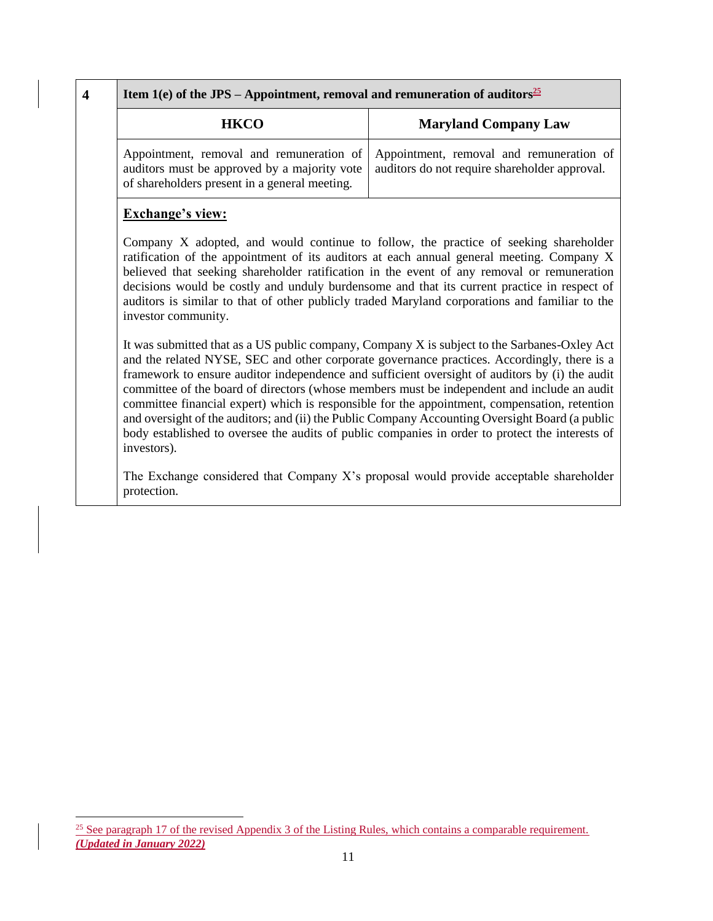| Item 1(e) of the JPS – Appointment, removal and remuneration of auditors <sup>25</sup>                                                                                                                                                                                                                                                                                                                                                                                                                                                                                                                                                                                                                                                                                                                                                                                                                                                                                                                                                                                                                                                                                                                                                                                                                                                                            |                                                                                           |
|-------------------------------------------------------------------------------------------------------------------------------------------------------------------------------------------------------------------------------------------------------------------------------------------------------------------------------------------------------------------------------------------------------------------------------------------------------------------------------------------------------------------------------------------------------------------------------------------------------------------------------------------------------------------------------------------------------------------------------------------------------------------------------------------------------------------------------------------------------------------------------------------------------------------------------------------------------------------------------------------------------------------------------------------------------------------------------------------------------------------------------------------------------------------------------------------------------------------------------------------------------------------------------------------------------------------------------------------------------------------|-------------------------------------------------------------------------------------------|
| <b>HKCO</b>                                                                                                                                                                                                                                                                                                                                                                                                                                                                                                                                                                                                                                                                                                                                                                                                                                                                                                                                                                                                                                                                                                                                                                                                                                                                                                                                                       | <b>Maryland Company Law</b>                                                               |
| Appointment, removal and remuneration of<br>auditors must be approved by a majority vote<br>of shareholders present in a general meeting.                                                                                                                                                                                                                                                                                                                                                                                                                                                                                                                                                                                                                                                                                                                                                                                                                                                                                                                                                                                                                                                                                                                                                                                                                         | Appointment, removal and remuneration of<br>auditors do not require shareholder approval. |
| <b>Exchange's view:</b><br>Company X adopted, and would continue to follow, the practice of seeking shareholder<br>ratification of the appointment of its auditors at each annual general meeting. Company X<br>believed that seeking shareholder ratification in the event of any removal or remuneration<br>decisions would be costly and unduly burdensome and that its current practice in respect of<br>auditors is similar to that of other publicly traded Maryland corporations and familiar to the<br>investor community.<br>It was submitted that as a US public company, Company X is subject to the Sarbanes-Oxley Act<br>and the related NYSE, SEC and other corporate governance practices. Accordingly, there is a<br>framework to ensure auditor independence and sufficient oversight of auditors by (i) the audit<br>committee of the board of directors (whose members must be independent and include an audit<br>committee financial expert) which is responsible for the appointment, compensation, retention<br>and oversight of the auditors; and (ii) the Public Company Accounting Oversight Board (a public<br>body established to oversee the audits of public companies in order to protect the interests of<br>investors).<br>The Exchange considered that Company X's proposal would provide acceptable shareholder<br>protection. |                                                                                           |

<sup>&</sup>lt;sup>25</sup> See paragraph 17 of the revised Appendix 3 of the Listing Rules, which contains a comparable requirement. *(Updated in January 2022)*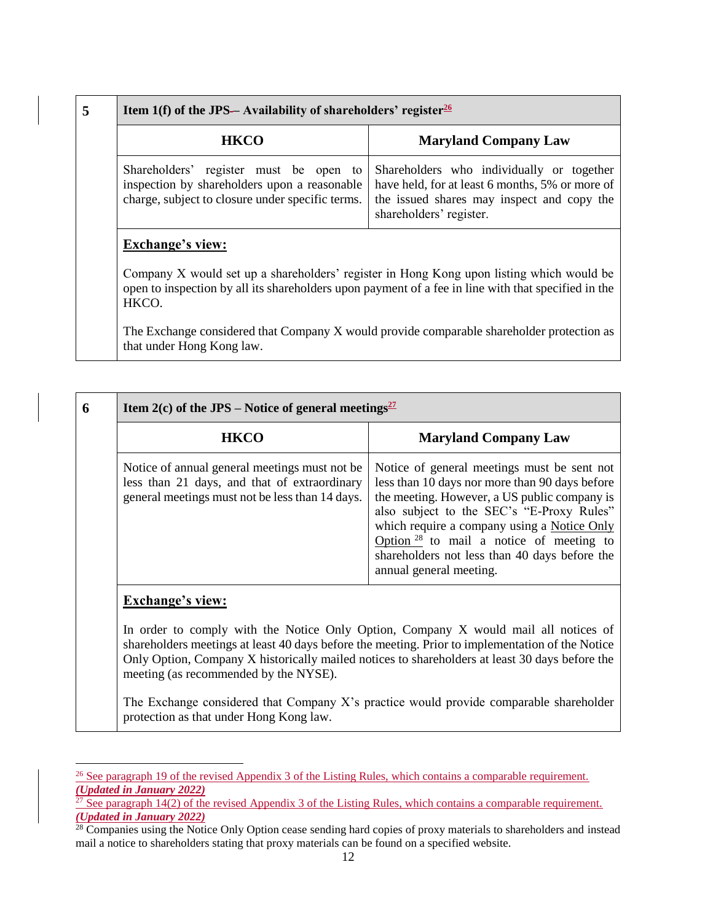| 5 | Item 1(f) of the JPS—Availability of shareholders' register $\frac{26}{10}$                                                                                                                                                         |                                                                                                                                                                       |
|---|-------------------------------------------------------------------------------------------------------------------------------------------------------------------------------------------------------------------------------------|-----------------------------------------------------------------------------------------------------------------------------------------------------------------------|
|   | <b>HKCO</b>                                                                                                                                                                                                                         | <b>Maryland Company Law</b>                                                                                                                                           |
|   | Shareholders' register must be open to<br>inspection by shareholders upon a reasonable<br>charge, subject to closure under specific terms.                                                                                          | Shareholders who individually or together<br>have held, for at least 6 months, 5% or more of<br>the issued shares may inspect and copy the<br>shareholders' register. |
|   | <b>Exchange's view:</b><br>Company X would set up a shareholders' register in Hong Kong upon listing which would be<br>open to inspection by all its shareholders upon payment of a fee in line with that specified in the<br>HKCO. |                                                                                                                                                                       |
|   |                                                                                                                                                                                                                                     | The Exchange considered that Company X would provide comparable shareholder protection as                                                                             |

that under Hong Kong law.

| Item 2(c) of the JPS – Notice of general meetings <sup>27</sup>                                                                                                                                                                                                                                                                                                     |  |  |
|---------------------------------------------------------------------------------------------------------------------------------------------------------------------------------------------------------------------------------------------------------------------------------------------------------------------------------------------------------------------|--|--|
| <b>Maryland Company Law</b>                                                                                                                                                                                                                                                                                                                                         |  |  |
| Notice of general meetings must be sent not<br>less than 10 days nor more than 90 days before<br>the meeting. However, a US public company is<br>also subject to the SEC's "E-Proxy Rules"<br>which require a company using a Notice Only<br>Option $28$ to mail a notice of meeting to<br>shareholders not less than 40 days before the<br>annual general meeting. |  |  |
| <b>Exchange's view:</b><br>In order to comply with the Notice Only Option, Company X would mail all notices of<br>shareholders meetings at least 40 days before the meeting. Prior to implementation of the Notice<br>Only Option, Company X historically mailed notices to shareholders at least 30 days before the<br>meeting (as recommended by the NYSE).       |  |  |
|                                                                                                                                                                                                                                                                                                                                                                     |  |  |

The Exchange considered that Company X's practice would provide comparable shareholder protection as that under Hong Kong law.

l <sup>26</sup> See paragraph 19 of the revised Appendix 3 of the Listing Rules, which contains a comparable requirement. *(Updated in January 2022)*

<sup>&</sup>lt;sup>27</sup> See paragraph 14(2) of the revised Appendix 3 of the Listing Rules, which contains a comparable requirement. *(Updated in January 2022)*

 $28$  Companies using the Notice Only Option cease sending hard copies of proxy materials to shareholders and instead mail a notice to shareholders stating that proxy materials can be found on a specified website.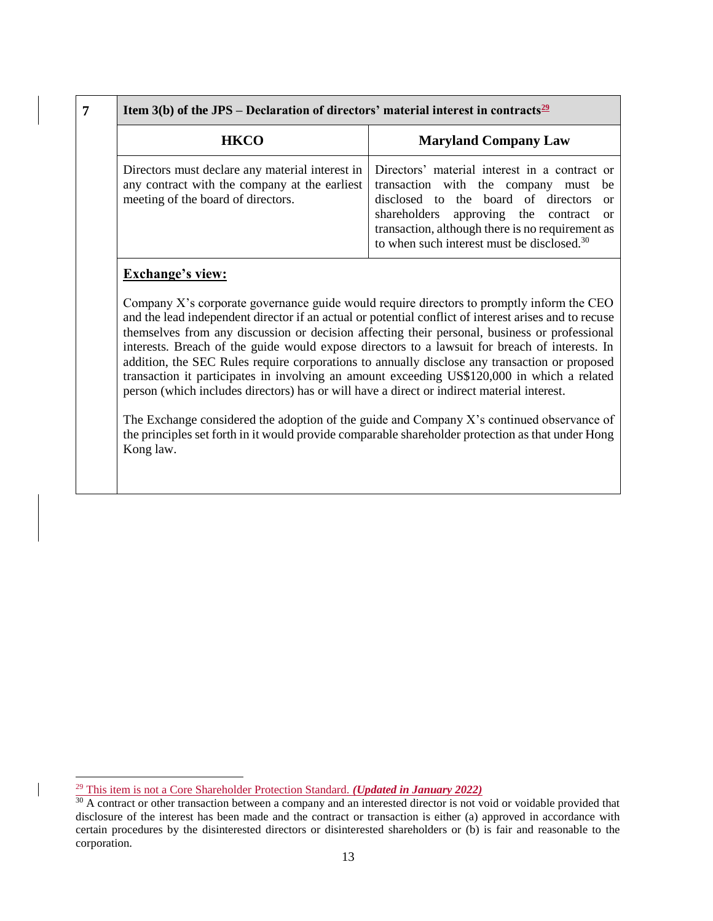| <b>HKCO</b>                                                                                                                            | <b>Maryland Company Law</b>                                                                                                                                                                                                                                                             |
|----------------------------------------------------------------------------------------------------------------------------------------|-----------------------------------------------------------------------------------------------------------------------------------------------------------------------------------------------------------------------------------------------------------------------------------------|
| Directors must declare any material interest in<br>any contract with the company at the earliest<br>meeting of the board of directors. | Directors' material interest in a contract or<br>transaction with the company must be<br>disclosed to the board of directors or<br>shareholders approving the contract or<br>transaction, although there is no requirement as<br>to when such interest must be disclosed. <sup>30</sup> |

### **Exchange's view:**

 $\overline{\phantom{a}}$ 

Company X's corporate governance guide would require directors to promptly inform the CEO and the lead independent director if an actual or potential conflict of interest arises and to recuse themselves from any discussion or decision affecting their personal, business or professional interests. Breach of the guide would expose directors to a lawsuit for breach of interests. In addition, the SEC Rules require corporations to annually disclose any transaction or proposed transaction it participates in involving an amount exceeding US\$120,000 in which a related person (which includes directors) has or will have a direct or indirect material interest.

The Exchange considered the adoption of the guide and Company X's continued observance of the principles set forth in it would provide comparable shareholder protection as that under Hong Kong law.

<sup>29</sup> This item is not a Core Shareholder Protection Standard. *(Updated in January 2022)*

 $30$  A contract or other transaction between a company and an interested director is not void or voidable provided that disclosure of the interest has been made and the contract or transaction is either (a) approved in accordance with certain procedures by the disinterested directors or disinterested shareholders or (b) is fair and reasonable to the corporation.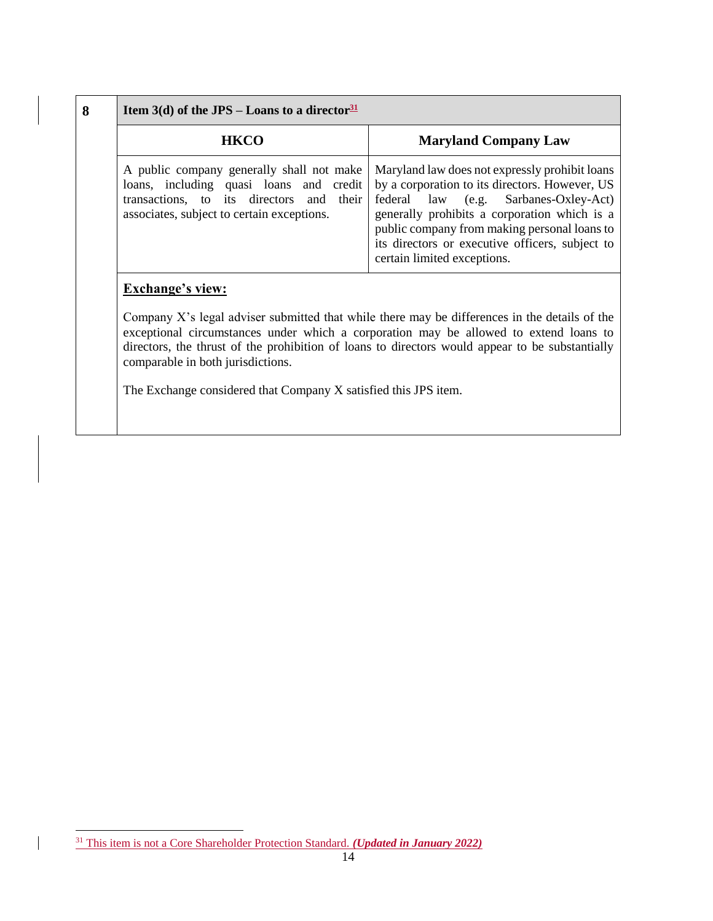| <b>Maryland Company Law</b>                                                                                                                                                                                                                                                                                                                                            |
|------------------------------------------------------------------------------------------------------------------------------------------------------------------------------------------------------------------------------------------------------------------------------------------------------------------------------------------------------------------------|
| Maryland law does not expressly prohibit loans<br>by a corporation to its directors. However, US<br>loans, including quasi loans and credit<br>federal law (e.g. Sarbanes-Oxley-Act)<br>generally prohibits a corporation which is a<br>public company from making personal loans to<br>its directors or executive officers, subject to<br>certain limited exceptions. |
| A public company generally shall not make<br>their                                                                                                                                                                                                                                                                                                                     |

exceptional circumstances under which a corporation may be allowed to extend loans to directors, the thrust of the prohibition of loans to directors would appear to be substantially comparable in both jurisdictions.

The Exchange considered that Company X satisfied this JPS item.

l

 $\overline{\phantom{a}}$ 

<sup>31</sup> This item is not a Core Shareholder Protection Standard. *(Updated in January 2022)*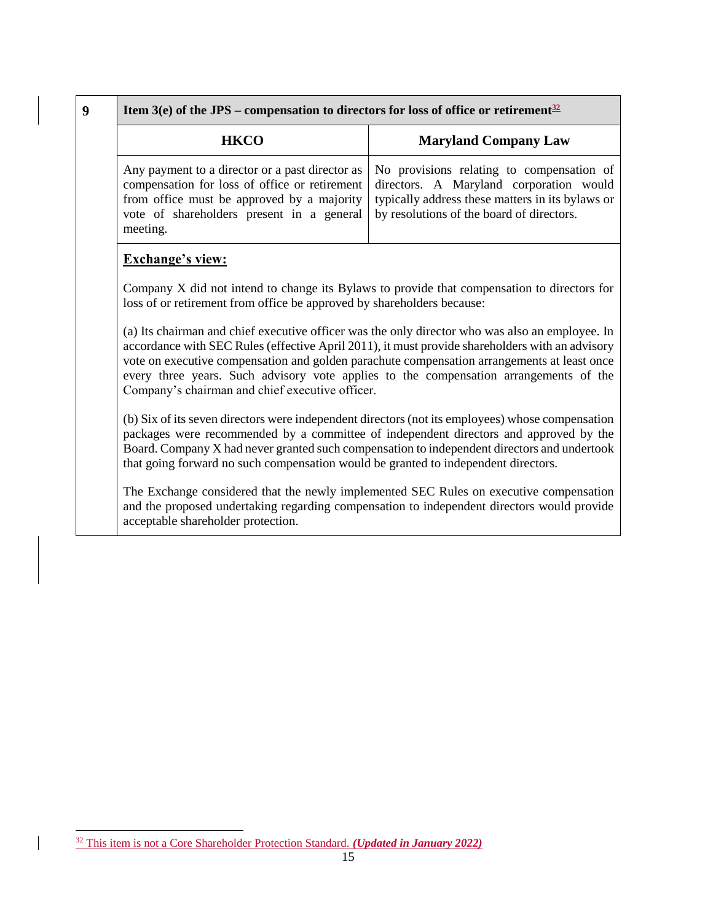| <b>HKCO</b>                                                                         | <b>Maryland Company Law</b>                                                                 |
|-------------------------------------------------------------------------------------|---------------------------------------------------------------------------------------------|
| from office must be approved by a majority                                          | Any payment to a director or a past director as   No provisions relating to compensation of |
| vote of shareholders present in a general by resolutions of the board of directors. | compensation for loss of office or retirement directors. A Maryland corporation would       |
| meeting.                                                                            | typically address these matters in its bylaws or                                            |

## **Exchange's view:**

Company X did not intend to change its Bylaws to provide that compensation to directors for loss of or retirement from office be approved by shareholders because:

(a) Its chairman and chief executive officer was the only director who was also an employee. In accordance with SEC Rules (effective April 2011), it must provide shareholders with an advisory vote on executive compensation and golden parachute compensation arrangements at least once every three years. Such advisory vote applies to the compensation arrangements of the Company's chairman and chief executive officer.

(b) Six of its seven directors were independent directors (not its employees) whose compensation packages were recommended by a committee of independent directors and approved by the Board. Company X had never granted such compensation to independent directors and undertook that going forward no such compensation would be granted to independent directors.

The Exchange considered that the newly implemented SEC Rules on executive compensation and the proposed undertaking regarding compensation to independent directors would provide acceptable shareholder protection.

l

<sup>32</sup> This item is not a Core Shareholder Protection Standard. *(Updated in January 2022)*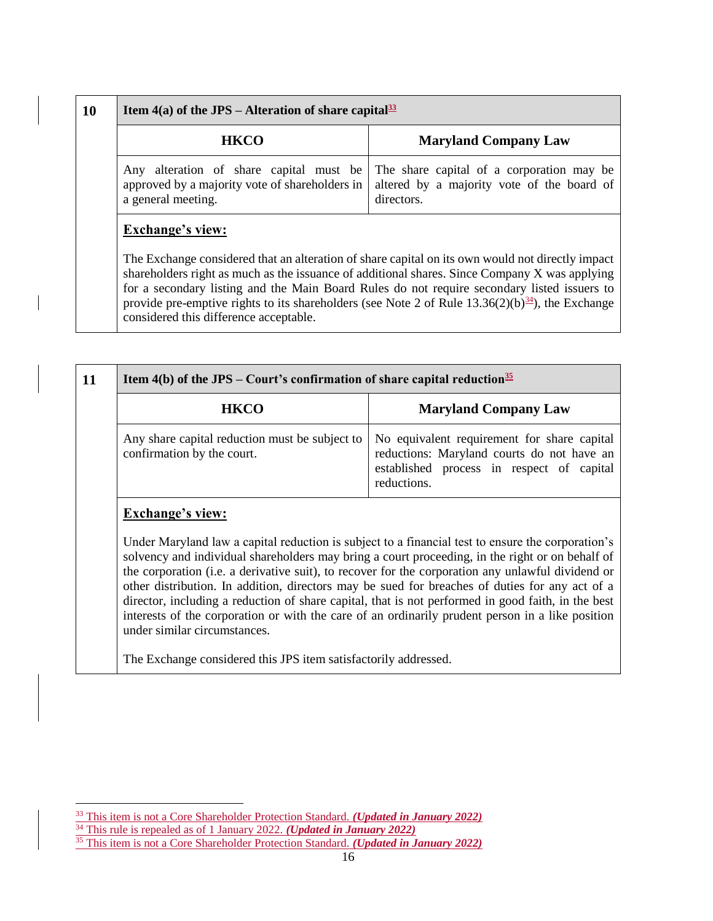| 10 |  | Item $4(a)$ of the JPS – Alteration of share capital <sup>33</sup>                                                                                                                                                                                                                                                                                                                                                                                                                    |                                                                                                       |  |
|----|--|---------------------------------------------------------------------------------------------------------------------------------------------------------------------------------------------------------------------------------------------------------------------------------------------------------------------------------------------------------------------------------------------------------------------------------------------------------------------------------------|-------------------------------------------------------------------------------------------------------|--|
|    |  | <b>HKCO</b>                                                                                                                                                                                                                                                                                                                                                                                                                                                                           | <b>Maryland Company Law</b>                                                                           |  |
|    |  | Any alteration of share capital must be<br>approved by a majority vote of shareholders in<br>a general meeting.                                                                                                                                                                                                                                                                                                                                                                       | The share capital of a corporation may be<br>altered by a majority vote of the board of<br>directors. |  |
|    |  | <b>Exchange's view:</b><br>The Exchange considered that an alteration of share capital on its own would not directly impact<br>shareholders right as much as the issuance of additional shares. Since Company X was applying<br>for a secondary listing and the Main Board Rules do not require secondary listed issuers to<br>provide pre-emptive rights to its shareholders (see Note 2 of Rule 13.36(2)(b) <sup>34</sup> ), the Exchange<br>considered this difference acceptable. |                                                                                                       |  |

| <b>HKCO</b>                                                                  | <b>Maryland Company Law</b>                                                                                                                           |
|------------------------------------------------------------------------------|-------------------------------------------------------------------------------------------------------------------------------------------------------|
| Any share capital reduction must be subject to<br>confirmation by the court. | No equivalent requirement for share capital<br>reductions: Maryland courts do not have an<br>established process in respect of capital<br>reductions. |

d law a capital reduction is subject to a financial test to ensure the corporation's solvency and individual shareholders may bring a court proceeding, in the right or on behalf of the corporation (i.e. a derivative suit), to recover for the corporation any unlawful dividend or other distribution. In addition, directors may be sued for breaches of duties for any act of a director, including a reduction of share capital, that is not performed in good faith, in the best interests of the corporation or with the care of an ordinarily prudent person in a like position under similar circumstances.

The Exchange considered this JPS item satisfactorily addressed.

 $\overline{\phantom{a}}$ 

<sup>33</sup> This item is not a Core Shareholder Protection Standard. *(Updated in January 2022)*

<sup>&</sup>lt;sup>34</sup> This rule is repealed as of 1 January 2022. *(Updated in January 2022)* 

<sup>35</sup> This item is not a Core Shareholder Protection Standard. *(Updated in January 2022)*